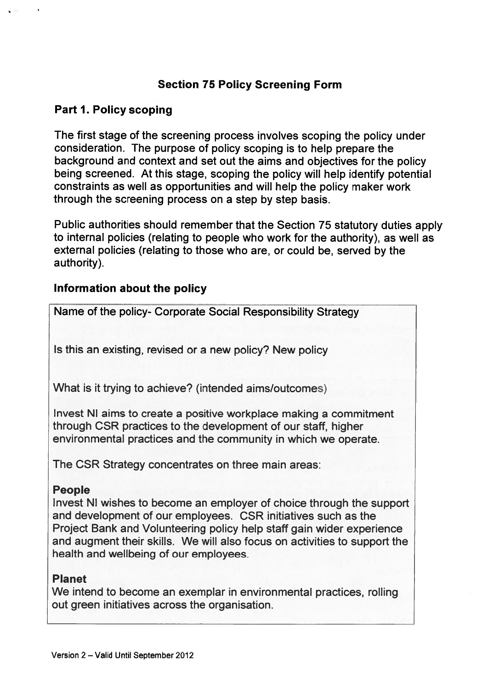## Section 75 Policy Screening Form

#### Part 1. Policy scoping

The first stage of the screening process involves scoping the policy under consideration. The purpose of policy scoping is to help prepare the background and context and set out the aims and objectives for the policy being screened. At this stage, scoping the policy will help identify potential constraints as well as opportunities and will help the policy maker work through the screening process on <sup>a</sup> step by step basis.

Public authorities should remember that the Section 75 statutory duties apply to internal policies (relating to people who work for the authority), as well as external policies (relating to those who are, or could be, served by the authority).

#### Information about the policy

Name of the policy- Corporate Social Responsibility Strategy

Is this an existing, revised or <sup>a</sup> new policy? New policy

What is it trying to achieve? (intended aims/outcomes)

Invest NI aims to create <sup>a</sup> positive workplace making <sup>a</sup> commitment through CSR practices to the development of our staff, higher environmental practices and the community in which we operate.

The CSR Strategy concentrates on three main areas:

#### People

Invest NI wishes to become an employer of choice through the suppor<sup>t</sup> and development of our employees. CSR initiatives such as the Project Bank and Volunteering policy help staff gain wider experience and augmen<sup>t</sup> their skills. We will also focus on activities to suppor<sup>t</sup> the health and wellbeing of our employees.

#### Planet

We intend to become an exemplar in environmental practices, rolling out green initiatives across the organisation.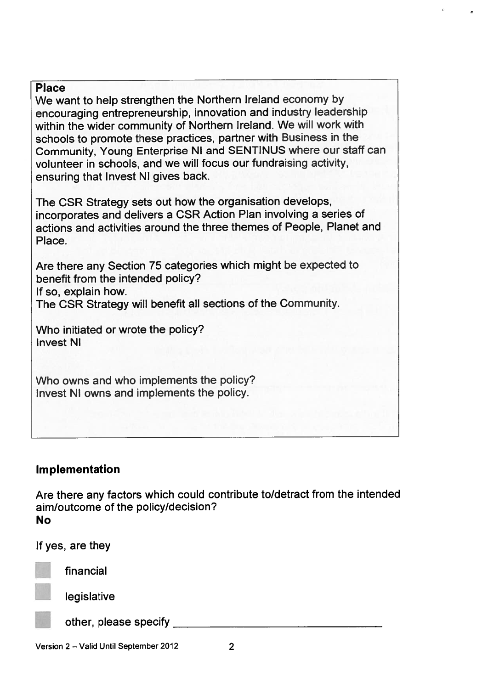#### Place

We want to help strengthen the Northern Ireland economy by encouraging entrepreneurship, innovation and industry leadership within the wider community of Northern Ireland. We will work with schools to promote these practices, partner with Business in the Community, Young Enterprise NI and SENTINUS where our staff can volunteer in schools, and we will focus our fundraising activity, ensuring that Invest NI gives back.

The CSR Strategy sets out how the organisation develops, incorporates and delivers <sup>a</sup> CSR Action Plan involving <sup>a</sup> series of actions and activities around the three themes of People, Planet and Place.

Are there any Section <sup>75</sup> categories which might be expected to benefit from the intended policy? If so, explain how.

The CSR Strategy will benefit all sections of the Community.

Who initiated or wrote the policy? Invest NI

Who owns and who implements the policy? Invest NI owns and implements the policy.

#### Implementation

Are there any factors which could contribute to/detract from the intended aim/outcome of the policy/decision? No



financial

legislative

other, please specify

Version 2 – Valid Until September 2012 2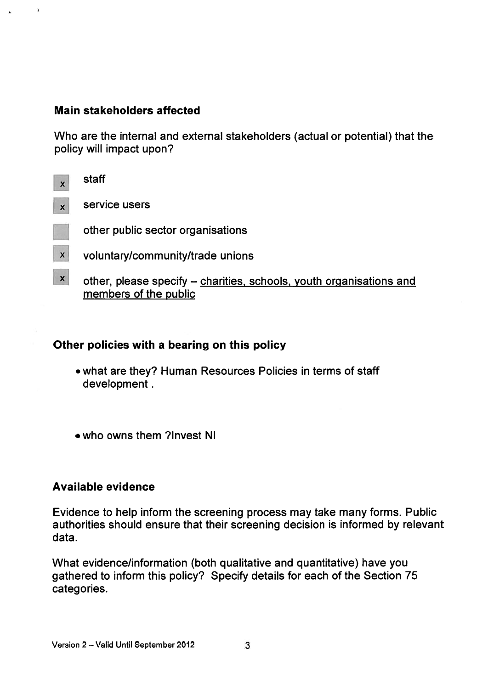#### Main stakeholders affected

 $\hat{a}$ 

Who are the internal and external stakeholders (actual or potential) that the policy will impact upon?

| $\boldsymbol{\mathsf{x}}$ | staff                                                                                        |
|---------------------------|----------------------------------------------------------------------------------------------|
| $\boldsymbol{\mathsf{x}}$ | service users                                                                                |
|                           | other public sector organisations                                                            |
| X                         | voluntary/community/trade unions                                                             |
| $\mathsf{x}$              | other, please specify – charities, schools, youth organisations and<br>members of the public |

## Other policies with <sup>a</sup> bearing on this policy

- what are they? Human Resources Policies in terms of staff development.
- •who owns them ?Invest NI

#### Available evidence

Evidence to help inform the screening process may take many forms. Public authorities should ensure that their screening decision is informed by relevant data.

What evidence/information (both qualitative and quantitative) have you gathered to inform this policy? Specify details for each of the Section 75 categories.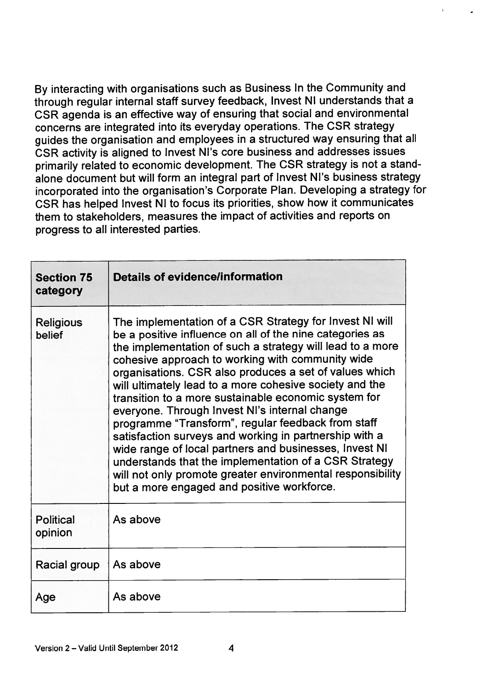By interacting with organisations such as Business In the Community and through regular internal staff survey feedback, Invest NI understands that <sup>a</sup> CSR agenda is an effective way of ensuring that social and environmental concerns are integrated into its everyday operations. The CSR strategy guides the organisation and employees in <sup>a</sup> structured way ensuring that all CSR activity is aligned to Invest Ni's core business and addresses issues primarily related to economic development. The CSR strategy is not <sup>a</sup> stand alone document but will form an integral par<sup>t</sup> of Invest Ni's business strategy incorporated into the organisation's Corporate Plan. Developing <sup>a</sup> strategy for CSR has helped invest NI to focus its priorities, show how it communicates them to stakeholders, measures the impact of activities and reports on progress to all interested parties.

| <b>Section 75</b><br>category | <b>Details of evidence/information</b>                                                                                                                                                                                                                                                                                                                                                                                                                                                                                                                                                                                                                                                                                                                                                                            |
|-------------------------------|-------------------------------------------------------------------------------------------------------------------------------------------------------------------------------------------------------------------------------------------------------------------------------------------------------------------------------------------------------------------------------------------------------------------------------------------------------------------------------------------------------------------------------------------------------------------------------------------------------------------------------------------------------------------------------------------------------------------------------------------------------------------------------------------------------------------|
| <b>Religious</b><br>belief    | The implementation of a CSR Strategy for Invest NI will<br>be a positive influence on all of the nine categories as<br>the implementation of such a strategy will lead to a more<br>cohesive approach to working with community wide<br>organisations. CSR also produces a set of values which<br>will ultimately lead to a more cohesive society and the<br>transition to a more sustainable economic system for<br>everyone. Through Invest NI's internal change<br>programme "Transform", regular feedback from staff<br>satisfaction surveys and working in partnership with a<br>wide range of local partners and businesses, Invest NI<br>understands that the implementation of a CSR Strategy<br>will not only promote greater environmental responsibility<br>but a more engaged and positive workforce. |
| <b>Political</b><br>opinion   | As above                                                                                                                                                                                                                                                                                                                                                                                                                                                                                                                                                                                                                                                                                                                                                                                                          |
| Racial group                  | As above                                                                                                                                                                                                                                                                                                                                                                                                                                                                                                                                                                                                                                                                                                                                                                                                          |
| Age                           | As above                                                                                                                                                                                                                                                                                                                                                                                                                                                                                                                                                                                                                                                                                                                                                                                                          |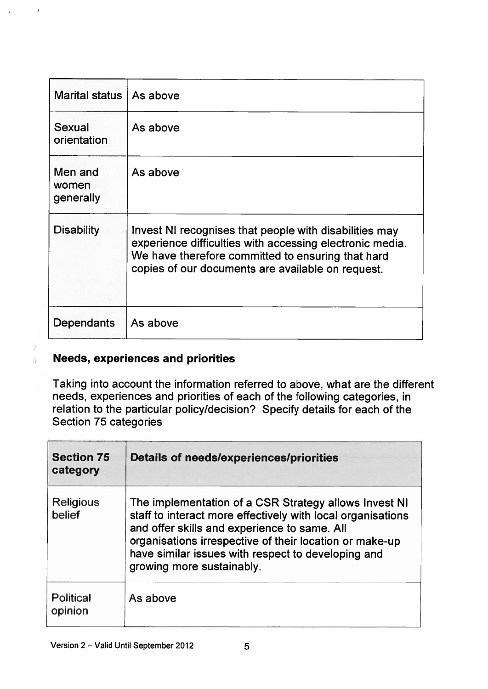| <b>Marital status</b>         | As above                                                                                                                                                                                                                     |
|-------------------------------|------------------------------------------------------------------------------------------------------------------------------------------------------------------------------------------------------------------------------|
| Sexual<br>orientation         | As above                                                                                                                                                                                                                     |
| Men and<br>women<br>generally | As above                                                                                                                                                                                                                     |
| <b>Disability</b>             | Invest NI recognises that people with disabilities may<br>experience difficulties with accessing electronic media.<br>We have therefore committed to ensuring that hard<br>copies of our documents are available on request. |
| Dependants                    | As above                                                                                                                                                                                                                     |

## Needs, experiences and priorities

産

Taking into account the information referred to above, what are the different needs, experiences and priorities of each of the following categories, in relation to the particular policy/decision? Specify details for each of the Section 75 categories

| <b>Section 75</b><br>category | <b>Details of needs/experiences/priorities</b>                                                                                                                                                                                                                                                                     |
|-------------------------------|--------------------------------------------------------------------------------------------------------------------------------------------------------------------------------------------------------------------------------------------------------------------------------------------------------------------|
| <b>Religious</b><br>belief    | The implementation of a CSR Strategy allows Invest NI<br>staff to interact more effectively with local organisations<br>and offer skills and experience to same. All<br>organisations irrespective of their location or make-up<br>have similar issues with respect to developing and<br>growing more sustainably. |
| <b>Political</b><br>opinion   | As above                                                                                                                                                                                                                                                                                                           |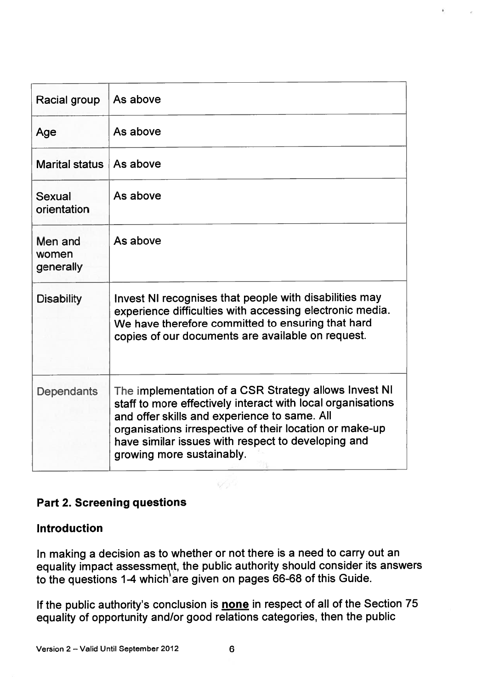| Racial group                  | As above                                                                                                                                                                                                                                                                                                           |
|-------------------------------|--------------------------------------------------------------------------------------------------------------------------------------------------------------------------------------------------------------------------------------------------------------------------------------------------------------------|
| Age                           | As above                                                                                                                                                                                                                                                                                                           |
| <b>Marital status</b>         | As above                                                                                                                                                                                                                                                                                                           |
| Sexual<br>orientation         | As above                                                                                                                                                                                                                                                                                                           |
| Men and<br>women<br>generally | As above                                                                                                                                                                                                                                                                                                           |
| <b>Disability</b>             | Invest NI recognises that people with disabilities may<br>experience difficulties with accessing electronic media.<br>We have therefore committed to ensuring that hard<br>copies of our documents are available on request.                                                                                       |
| <b>Dependants</b>             | The implementation of a CSR Strategy allows Invest NI<br>staff to more effectively interact with local organisations<br>and offer skills and experience to same. All<br>organisations irrespective of their location or make-up<br>have similar issues with respect to developing and<br>growing more sustainably. |

 $\hat{\pmb{z}}$ 

# Part 2. Screening questions

#### Introduction

In making <sup>a</sup> decision as to whether or not there is <sup>a</sup> need to carry out an equality impact assessment, the public authority should consider its answers to the questions 1-4 which'are given on pages 66-68 of this Guide

If the public authority's conclusion is none in respect of all of the Section 75 equality of opportunity and/or good relations categories, then the public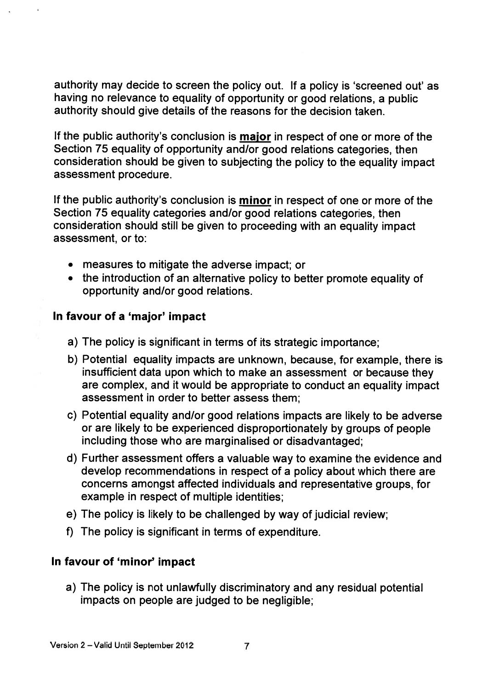authority may decide to screen the policy out. If <sup>a</sup> policy is 'screened out' as having no relevance to equality of opportunity or goo<sup>d</sup> relations, <sup>a</sup> public authority should give details of the reasons for the decision taken.

If the public authority's conclusion is major in respec<sup>t</sup> of one or more of the Section 75 equality of opportunity and/or good relations categories, then consideration should be <sup>g</sup>iven to subjecting the policy to the equality impact assessment procedure.

If the public authority's conclusion is **minor** in respect of one or more of the Section 75 equality categories and/or good relations categories, then consideration should still be <sup>g</sup>iven to proceeding with an equality impact assessment, or to:

- measures to mitigate the adverse impact; or
- the introduction of an alternative policy to better promote equality of opportunity and/or good relations.

#### In favour of <sup>a</sup> 'major' impact

- a) The policy is significant in terms of its strategic importance;
- b) Potential equality impacts are unknown, because, for example, there is insufficient data upon which to make an assessment or because they are complex, and it would be appropriate to conduct an equality impact assessment in order to better assess them;
- c) Potential equality and/or good relations impacts are likely to be adverse or are likely to be experienced disproportionately by groups of people including those who are marginalised or disadvantaged;
- d) Further assessment offers <sup>a</sup> valuable way to examine the evidence and develop recommendations in respec<sup>t</sup> of <sup>a</sup> policy about which there are concerns amongs<sup>t</sup> affected individuals and representative groups, for example in respec<sup>t</sup> of multiple identities;
- e) The policy is likely to be challenged by way of judicial review;
- f) The policy is significant in terms of expenditure.

## In favour of 'minor' impact

a) The policy is not unlawfully discriminatory and any residual potential impacts on people are judged to be negligible;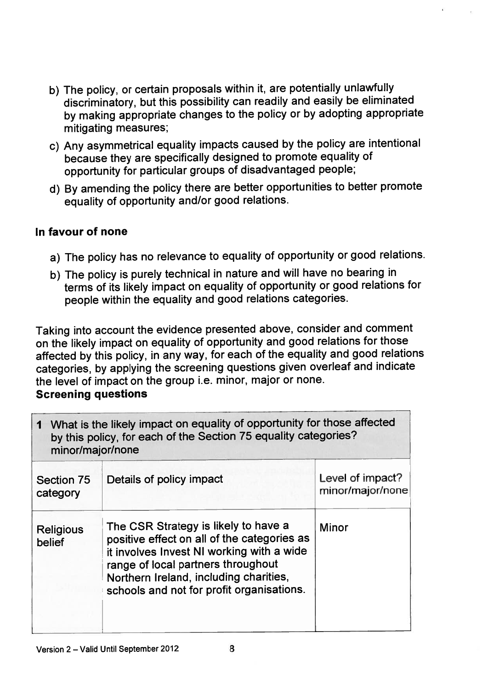- b) The policy, or certain proposals within it, are potentially unlawfully discriminatory, but this possibility can readily and easily be eliminated by making appropriate changes to the policy or by adopting appropriate mitigating measures;
- c) Any asymmetrical equality impacts caused by the policy are intentional because they are specifically designed to promote equality of opportunity for particular groups of disadvantaged people;
- d) By amending the policy there are better opportunities to better promote equality of opportunity and/or goo<sup>d</sup> relations.

## In favour of none

- a) The policy has no relevance to equality of opportunity or goo<sup>d</sup> relations.
- b) The policy is purely technical in nature and will have no bearing in terms of its likely impact on equality of opportunity or goo<sup>d</sup> relations for people within the equality and goo<sup>d</sup> relations categories.

Taking into account the evidence presented above, consider and comment on the likely impact on equality of opportunity and goo<sup>d</sup> relations for those affected by this policy, in any way, for each of the equality and goo<sup>d</sup> relations categories, by applying the screening questions <sup>g</sup>iven overleaf and indicate the level of impact on the group i.e. minor, major or none.

#### Screening questions

| 1 What is the likely impact on equality of opportunity for those affected<br>by this policy, for each of the Section 75 equality categories?<br>minor/major/none |                                                                                                                                                                                                                                                               |                                      |
|------------------------------------------------------------------------------------------------------------------------------------------------------------------|---------------------------------------------------------------------------------------------------------------------------------------------------------------------------------------------------------------------------------------------------------------|--------------------------------------|
| <b>Section 75</b><br>category                                                                                                                                    | Details of policy impact                                                                                                                                                                                                                                      | Level of impact?<br>minor/major/none |
| <b>Religious</b><br>belief                                                                                                                                       | The CSR Strategy is likely to have a<br>positive effect on all of the categories as<br>it involves Invest NI working with a wide<br>range of local partners throughout<br>Northern Ireland, including charities,<br>schools and not for profit organisations. | <b>Minor</b>                         |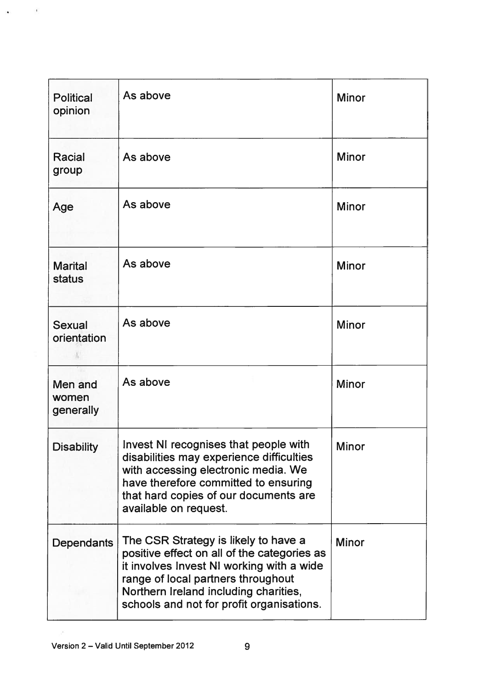| <b>Political</b><br>opinion   | As above                                                                                                                                                                                                                                                     | <b>Minor</b> |
|-------------------------------|--------------------------------------------------------------------------------------------------------------------------------------------------------------------------------------------------------------------------------------------------------------|--------------|
| <b>Racial</b><br>group        | As above                                                                                                                                                                                                                                                     | <b>Minor</b> |
| Age                           | As above                                                                                                                                                                                                                                                     | <b>Minor</b> |
| <b>Marital</b><br>status      | As above                                                                                                                                                                                                                                                     | <b>Minor</b> |
| <b>Sexual</b><br>orientation  | As above                                                                                                                                                                                                                                                     | <b>Minor</b> |
| Men and<br>women<br>generally | As above                                                                                                                                                                                                                                                     | <b>Minor</b> |
| <b>Disability</b>             | Invest NI recognises that people with<br>disabilities may experience difficulties<br>with accessing electronic media. We<br>have therefore committed to ensuring<br>that hard copies of our documents are<br>available on request.                           | <b>Minor</b> |
| <b>Dependants</b>             | The CSR Strategy is likely to have a<br>positive effect on all of the categories as<br>it involves Invest NI working with a wide<br>range of local partners throughout<br>Northern Ireland including charities,<br>schools and not for profit organisations. | <b>Minor</b> |

 $\overline{\rho}$ 

 $\mathcal{A}^{\pm}$  , and  $\mathcal{A}^{\pm}$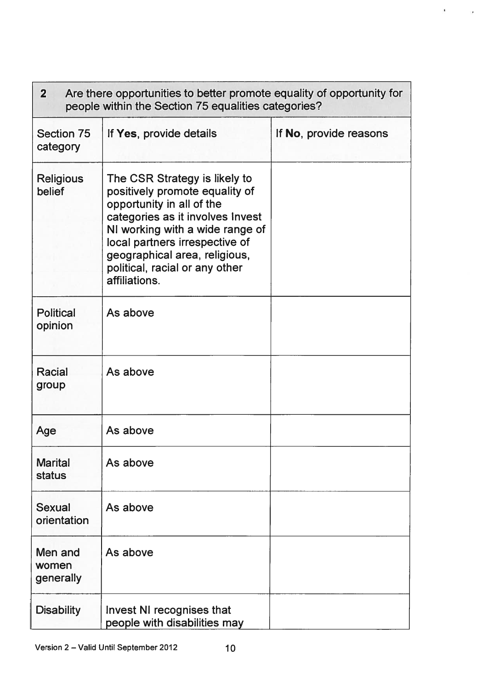| Are there opportunities to better promote equality of opportunity for<br>$\mathbf{2}$<br>people within the Section 75 equalities categories? |                                                                                                                                                                                                                                                                                           |                        |  |
|----------------------------------------------------------------------------------------------------------------------------------------------|-------------------------------------------------------------------------------------------------------------------------------------------------------------------------------------------------------------------------------------------------------------------------------------------|------------------------|--|
| <b>Section 75</b><br>category                                                                                                                | If Yes, provide details                                                                                                                                                                                                                                                                   | If No, provide reasons |  |
| <b>Religious</b><br>belief                                                                                                                   | The CSR Strategy is likely to<br>positively promote equality of<br>opportunity in all of the<br>categories as it involves Invest<br>NI working with a wide range of<br>local partners irrespective of<br>geographical area, religious,<br>political, racial or any other<br>affiliations. |                        |  |
| <b>Political</b><br>opinion                                                                                                                  | As above                                                                                                                                                                                                                                                                                  |                        |  |
| Racial<br>group                                                                                                                              | As above                                                                                                                                                                                                                                                                                  |                        |  |
| Age                                                                                                                                          | As above                                                                                                                                                                                                                                                                                  |                        |  |
| <b>Marital</b><br><b>status</b>                                                                                                              | As above                                                                                                                                                                                                                                                                                  |                        |  |
| Sexual<br>orientation                                                                                                                        | As above                                                                                                                                                                                                                                                                                  |                        |  |
| Men and<br>women<br>generally                                                                                                                | As above                                                                                                                                                                                                                                                                                  |                        |  |
| <b>Disability</b>                                                                                                                            | Invest NI recognises that<br>people with disabilities may                                                                                                                                                                                                                                 |                        |  |

 $\mathcal{A}$ 

 $\sim 10$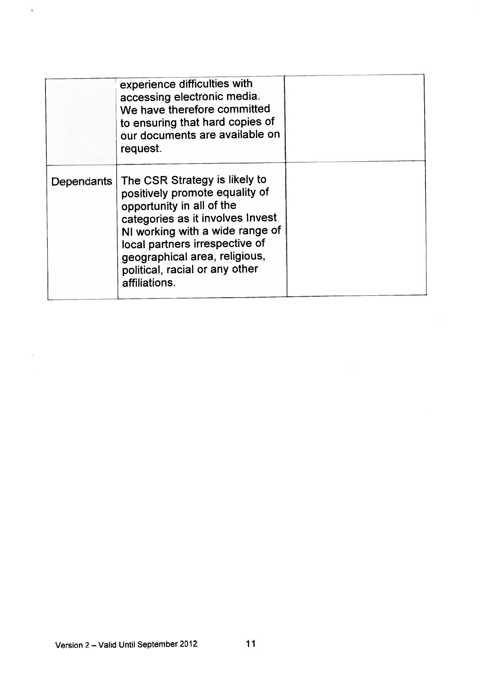|            | experience difficulties with<br>accessing electronic media.<br>We have therefore committed<br>to ensuring that hard copies of<br>our documents are available on<br>request.                                                                                                               |  |
|------------|-------------------------------------------------------------------------------------------------------------------------------------------------------------------------------------------------------------------------------------------------------------------------------------------|--|
| Dependants | The CSR Strategy is likely to<br>positively promote equality of<br>opportunity in all of the<br>categories as it involves Invest<br>NI working with a wide range of<br>local partners irrespective of<br>geographical area, religious,<br>political, racial or any other<br>affiliations. |  |

 $\lambda$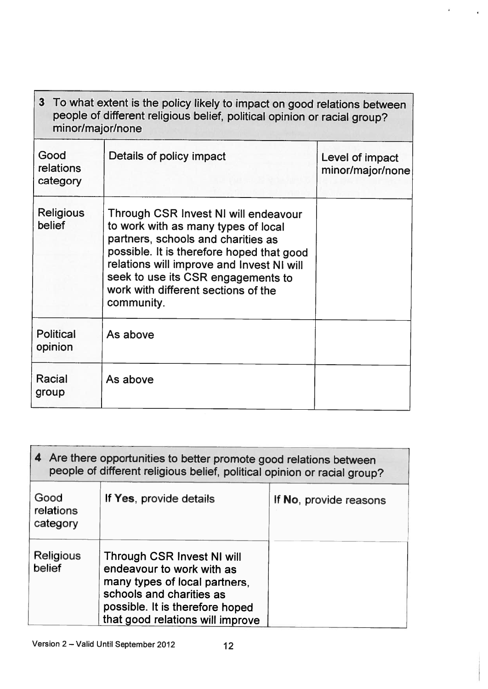| 3 To what extent is the policy likely to impact on good relations between<br>people of different religious belief, political opinion or racial group?<br>minor/major/none |                                                                                                                                                                                                                                                                                                        |                                     |  |
|---------------------------------------------------------------------------------------------------------------------------------------------------------------------------|--------------------------------------------------------------------------------------------------------------------------------------------------------------------------------------------------------------------------------------------------------------------------------------------------------|-------------------------------------|--|
| Good<br>relations<br>category                                                                                                                                             | Details of policy impact                                                                                                                                                                                                                                                                               | Level of impact<br>minor/major/none |  |
| <b>Religious</b><br>belief                                                                                                                                                | Through CSR Invest NI will endeavour<br>to work with as many types of local<br>partners, schools and charities as<br>possible. It is therefore hoped that good<br>relations will improve and Invest NI will<br>seek to use its CSR engagements to<br>work with different sections of the<br>community. |                                     |  |
| <b>Political</b><br>opinion                                                                                                                                               | As above                                                                                                                                                                                                                                                                                               |                                     |  |
| Racial<br>group                                                                                                                                                           | As above                                                                                                                                                                                                                                                                                               |                                     |  |

 $\tilde{\mathbf{r}}$ 

 $\epsilon$ 

| 4 Are there opportunities to better promote good relations between<br>people of different religious belief, political opinion or racial group? |                                                                                                                                                                                             |                        |  |
|------------------------------------------------------------------------------------------------------------------------------------------------|---------------------------------------------------------------------------------------------------------------------------------------------------------------------------------------------|------------------------|--|
| Good<br>relations<br>category                                                                                                                  | If Yes, provide details                                                                                                                                                                     | If No, provide reasons |  |
| <b>Religious</b><br>belief                                                                                                                     | Through CSR Invest NI will<br>endeavour to work with as<br>many types of local partners.<br>schools and charities as<br>possible. It is therefore hoped<br>that good relations will improve |                        |  |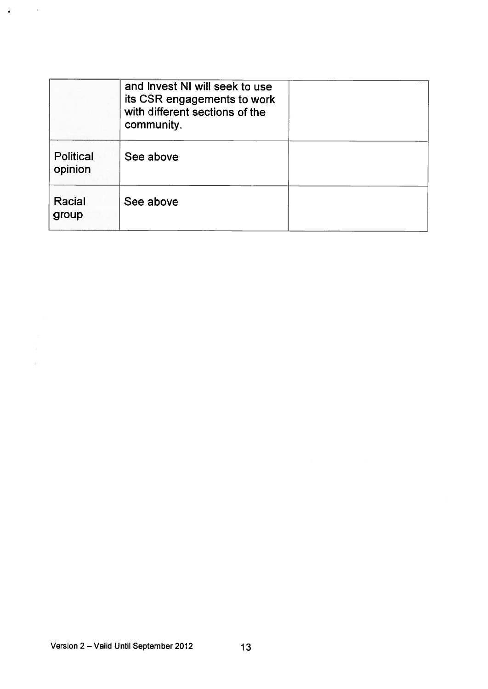|                             | and Invest NI will seek to use<br>its CSR engagements to work<br>with different sections of the<br>community. |  |
|-----------------------------|---------------------------------------------------------------------------------------------------------------|--|
| <b>Political</b><br>opinion | See above                                                                                                     |  |
| Racial<br>group             | See above                                                                                                     |  |

 $\mathbf{r}$  , and  $\mathbf{r}$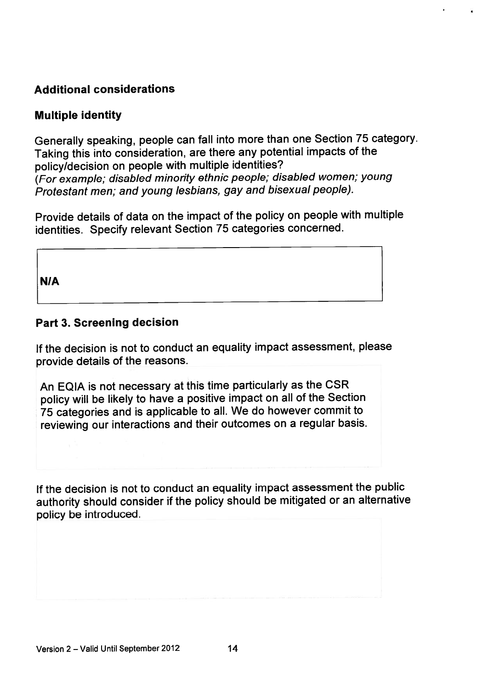# Additional considerations

## Multiple identity

Generally speaking, people can fall into more than one Section <sup>75</sup> category. Taking this into consideration, are there any potential impacts of the policy/decision on people with multiple identities? (For example; disabled minority ethnic people; disabled women; young Protestant men; and young lesbians, gay and bisexual people).

Provide details of data on the impact of the policy on people with multiple identities. Specify relevant Section <sup>75</sup> categories concerned.

NIA

## Part 3. Screening decision

If the decision is not to conduct an equality impact assessment, <sup>p</sup>lease provide details of the reasons.

An EQIA is not necessary at this time particularly as the CSR policy will be likely to have <sup>a</sup> positive impact on all of the Section <sup>75</sup> categories and is applicable to all. We do however commit to reviewing our interactions and their outcomes on <sup>a</sup> regular basis.

If the decision is not to conduct an equality impact assessment the public authority should consider if the policy should be mitigated or an alternative policy be introduced.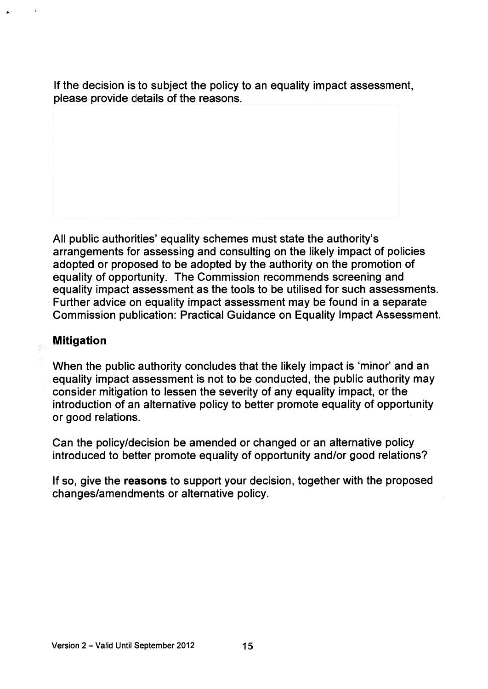If the decision is to subject the policy to an equality impact assessment, please provide details of the reasons.

All public authorities' equality schemes must state the authority's arrangements for assessing and consulting on the likely impact of policies adopted or proposed to be adopted by the authority on the promotion of equality of opportunity. The Commission recommends screening and equality impact assessment as the tools to be utilised for such assessments. Further advice on equality impact assessment may be found in <sup>a</sup> separate Commission publication: Practical Guidance on Equality Impact Assessment.

## Mitigation

When the public authority concludes that the likely impact is 'minor' and an equality impact assessment is not to be conducted, the public authority may consider mitigation to lessen the severity of any equality impact, or the introduction of an alternative policy to better promote equality of opportunity or good relations.

Can the policy/decision be amended or changed or an alternative policy introduced to better promote equality of opportunity and/or good relations?

If so, give the reasons to suppor<sup>t</sup> your decision, together with the proposed changes/amendments or alternative policy.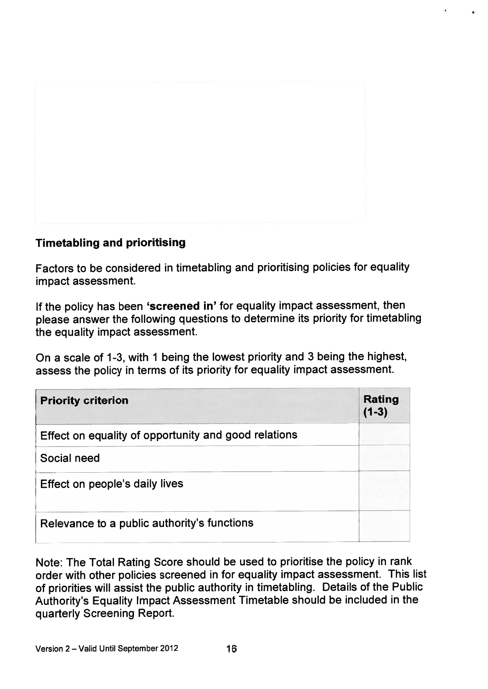

# Timetabling and prioritising

Factors to be considered in timetabling and prioritising policies for equality impact assessment.

If the policy has been 'screened in' for equality impact assessment, then <sup>p</sup>lease answer the following questions to determine its priority for timetabling the equality impact assessment.

On <sup>a</sup> scale of 1-3, with <sup>1</sup> being the lowest priority and <sup>3</sup> being the highest, assess the policy in terms of its priority for equality impact assessment.

| <b>Priority criterion</b>                            | <b>Rating</b><br>$(1-3)$ |
|------------------------------------------------------|--------------------------|
| Effect on equality of opportunity and good relations |                          |
| Social need                                          |                          |
| Effect on people's daily lives                       |                          |
| Relevance to a public authority's functions          |                          |

Note: The Total Rating Score should be used to prioritise the policy in rank order with other policies screened in for equality impact assessment. This list of priorities will assist the public authority in timetabling. Details of the Public Authority's Equality Impact Assessment Timetable should be included in the quarterly Screening Report.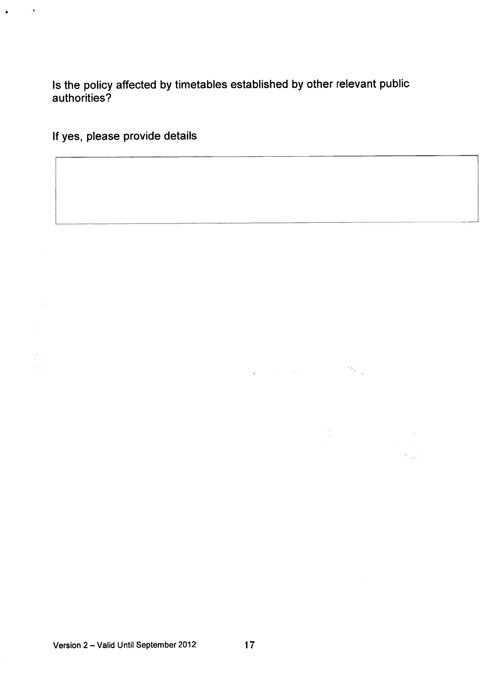Is the policy affected by timetables established by other relevant public authorities?

If yes, please provide details

٠

 $\mathbb{S}^n$ 

Version <sup>2</sup> — Valid Until September <sup>2012</sup> 17

 $\alpha_{\rm e}$ 

 $\Delta_{\rm{max}}$ 

 $\sim 10^{-10}$  MeV

 $\bar{\kappa}$